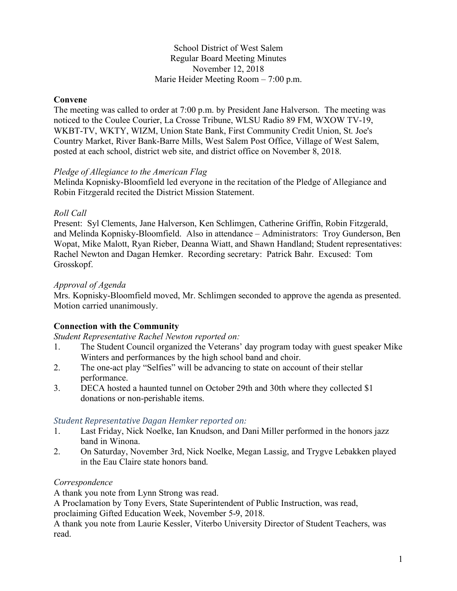### School District of West Salem Regular Board Meeting Minutes November 12, 2018 Marie Heider Meeting Room – 7:00 p.m.

### **Convene**

The meeting was called to order at 7:00 p.m. by President Jane Halverson. The meeting was noticed to the Coulee Courier, La Crosse Tribune, WLSU Radio 89 FM, WXOW TV-19, WKBT-TV, WKTY, WIZM, Union State Bank, First Community Credit Union, St. Joe's Country Market, River Bank-Barre Mills, West Salem Post Office, Village of West Salem, posted at each school, district web site, and district office on November 8, 2018.

### *Pledge of Allegiance to the American Flag*

Melinda Kopnisky-Bloomfield led everyone in the recitation of the Pledge of Allegiance and Robin Fitzgerald recited the District Mission Statement.

### *Roll Call*

Present: Syl Clements, Jane Halverson, Ken Schlimgen, Catherine Griffin, Robin Fitzgerald, and Melinda Kopnisky-Bloomfield. Also in attendance – Administrators: Troy Gunderson, Ben Wopat, Mike Malott, Ryan Rieber, Deanna Wiatt, and Shawn Handland; Student representatives: Rachel Newton and Dagan Hemker. Recording secretary: Patrick Bahr. Excused: Tom Grosskopf.

### *Approval of Agenda*

Mrs. Kopnisky-Bloomfield moved, Mr. Schlimgen seconded to approve the agenda as presented. Motion carried unanimously.

# **Connection with the Community**

*Student Representative Rachel Newton reported on:*

- 1. The Student Council organized the Veterans' day program today with guest speaker Mike Winters and performances by the high school band and choir.
- 2. The one-act play "Selfies" will be advancing to state on account of their stellar performance.
- 3. DECA hosted a haunted tunnel on October 29th and 30th where they collected \$1 donations or non-perishable items.

# *Student Representative Dagan Hemker reported on:*

- 1. Last Friday, Nick Noelke, Ian Knudson, and Dani Miller performed in the honors jazz band in Winona.
- 2. On Saturday, November 3rd, Nick Noelke, Megan Lassig, and Trygve Lebakken played in the Eau Claire state honors band.

# *Correspondence*

A thank you note from Lynn Strong was read.

A Proclamation by Tony Evers, State Superintendent of Public Instruction, was read,

proclaiming Gifted Education Week, November 5-9, 2018.

A thank you note from Laurie Kessler, Viterbo University Director of Student Teachers, was read.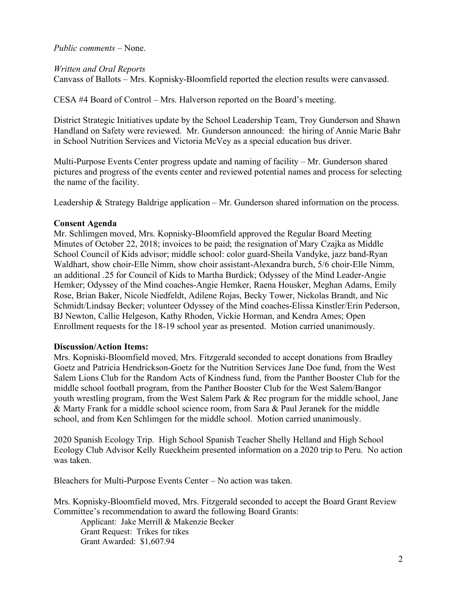*Public comments –* None.

*Written and Oral Reports*

Canvass of Ballots – Mrs. Kopnisky-Bloomfield reported the election results were canvassed.

CESA #4 Board of Control – Mrs. Halverson reported on the Board's meeting.

District Strategic Initiatives update by the School Leadership Team, Troy Gunderson and Shawn Handland on Safety were reviewed. Mr. Gunderson announced: the hiring of Annie Marie Bahr in School Nutrition Services and Victoria McVey as a special education bus driver.

Multi-Purpose Events Center progress update and naming of facility – Mr. Gunderson shared pictures and progress of the events center and reviewed potential names and process for selecting the name of the facility.

Leadership & Strategy Baldrige application – Mr. Gunderson shared information on the process.

### **Consent Agenda**

Mr. Schlimgen moved, Mrs. Kopnisky-Bloomfield approved the Regular Board Meeting Minutes of October 22, 2018; invoices to be paid; the resignation of Mary Czajka as Middle School Council of Kids advisor; middle school: color guard-Sheila Vandyke, jazz band-Ryan Waldhart, show choir-Elle Nimm, show choir assistant-Alexandra burch, 5/6 choir-Elle Nimm, an additional .25 for Council of Kids to Martha Burdick; Odyssey of the Mind Leader-Angie Hemker; Odyssey of the Mind coaches-Angie Hemker, Raena Housker, Meghan Adams, Emily Rose, Brian Baker, Nicole Niedfeldt, Adilene Rojas, Becky Tower, Nickolas Brandt, and Nic Schmidt/Lindsay Becker; volunteer Odyssey of the Mind coaches-Elissa Kinstler/Erin Pederson, BJ Newton, Callie Helgeson, Kathy Rhoden, Vickie Horman, and Kendra Ames; Open Enrollment requests for the 18-19 school year as presented. Motion carried unanimously.

### **Discussion/Action Items:**

Mrs. Kopniski-Bloomfield moved, Mrs. Fitzgerald seconded to accept donations from Bradley Goetz and Patricia Hendrickson-Goetz for the Nutrition Services Jane Doe fund, from the West Salem Lions Club for the Random Acts of Kindness fund, from the Panther Booster Club for the middle school football program, from the Panther Booster Club for the West Salem/Bangor youth wrestling program, from the West Salem Park & Rec program for the middle school, Jane & Marty Frank for a middle school science room, from Sara & Paul Jeranek for the middle school, and from Ken Schlimgen for the middle school. Motion carried unanimously.

2020 Spanish Ecology Trip. High School Spanish Teacher Shelly Helland and High School Ecology Club Advisor Kelly Rueckheim presented information on a 2020 trip to Peru. No action was taken.

Bleachers for Multi-Purpose Events Center – No action was taken.

Mrs. Kopnisky-Bloomfield moved, Mrs. Fitzgerald seconded to accept the Board Grant Review Committee's recommendation to award the following Board Grants:

Applicant: Jake Merrill & Makenzie Becker Grant Request: Trikes for tikes Grant Awarded: \$1,607.94